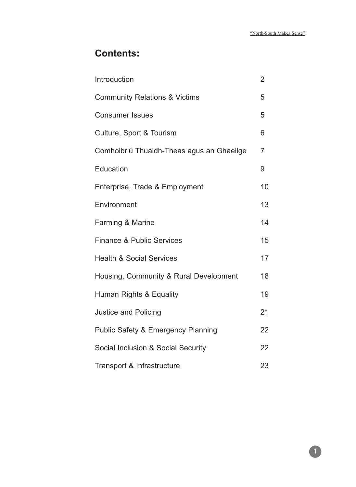# **Contents:**

| Introduction                                  | $\overline{2}$ |
|-----------------------------------------------|----------------|
| <b>Community Relations &amp; Victims</b>      | 5              |
| <b>Consumer Issues</b>                        | 5              |
| Culture, Sport & Tourism                      | 6              |
| Comhoibriú Thuaidh-Theas agus an Ghaeilge     | $\overline{7}$ |
| <b>Education</b>                              | 9              |
| Enterprise, Trade & Employment                | 10             |
| Environment                                   | 13             |
| Farming & Marine                              | 14             |
| <b>Finance &amp; Public Services</b>          | 15             |
| <b>Health &amp; Social Services</b>           | 17             |
| Housing, Community & Rural Development        | 18             |
| Human Rights & Equality                       | 19             |
| <b>Justice and Policing</b>                   | 21             |
| <b>Public Safety &amp; Emergency Planning</b> | 22             |
| Social Inclusion & Social Security            | 22             |
| Transport & Infrastructure                    | 23             |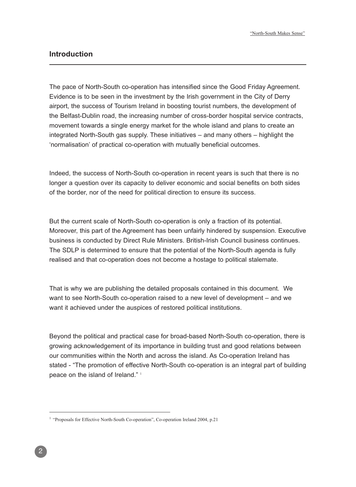# **Introduction**

The pace of North-South co-operation has intensified since the Good Friday Agreement. Evidence is to be seen in the investment by the Irish government in the City of Derry airport, the success of Tourism Ireland in boosting tourist numbers, the development of the Belfast-Dublin road, the increasing number of cross-border hospital service contracts, movement towards a single energy market for the whole island and plans to create an integrated North-South gas supply. These initiatives – and many others – highlight the 'normalisation' of practical co-operation with mutually beneficial outcomes.

Indeed, the success of North-South co-operation in recent years is such that there is no longer a question over its capacity to deliver economic and social benefits on both sides of the border, nor of the need for political direction to ensure its success.

But the current scale of North-South co-operation is only a fraction of its potential. Moreover, this part of the Agreement has been unfairly hindered by suspension. Executive business is conducted by Direct Rule Ministers. British-Irish Council business continues. The SDLP is determined to ensure that the potential of the North-South agenda is fully realised and that co-operation does not become a hostage to political stalemate.

That is why we are publishing the detailed proposals contained in this document. We want to see North-South co-operation raised to a new level of development – and we want it achieved under the auspices of restored political institutions.

Beyond the political and practical case for broad-based North-South co-operation, there is growing acknowledgement of its importance in building trust and good relations between our communities within the North and across the island. As Co-operation Ireland has stated - "The promotion of effective North-South co-operation is an integral part of building peace on the island of Ireland."<sup>1</sup>

<sup>&</sup>lt;sup>1</sup> "Proposals for Effective North-South Co-operation", Co-operation Ireland 2004, p.21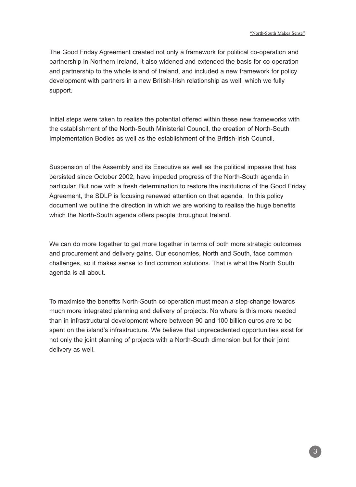The Good Friday Agreement created not only a framework for political co-operation and partnership in Northern Ireland, it also widened and extended the basis for co-operation and partnership to the whole island of Ireland, and included a new framework for policy development with partners in a new British-Irish relationship as well, which we fully support.

Initial steps were taken to realise the potential offered within these new frameworks with the establishment of the North-South Ministerial Council, the creation of North-South Implementation Bodies as well as the establishment of the British-Irish Council.

Suspension of the Assembly and its Executive as well as the political impasse that has persisted since October 2002, have impeded progress of the North-South agenda in particular. But now with a fresh determination to restore the institutions of the Good Friday Agreement, the SDLP is focusing renewed attention on that agenda. In this policy document we outline the direction in which we are working to realise the huge benefits which the North-South agenda offers people throughout Ireland.

We can do more together to get more together in terms of both more strategic outcomes and procurement and delivery gains. Our economies, North and South, face common challenges, so it makes sense to find common solutions. That is what the North South agenda is all about.

To maximise the benefits North-South co-operation must mean a step-change towards much more integrated planning and delivery of projects. No where is this more needed than in infrastructural development where between 90 and 100 billion euros are to be spent on the island's infrastructure. We believe that unprecedented opportunities exist for not only the joint planning of projects with a North-South dimension but for their joint delivery as well.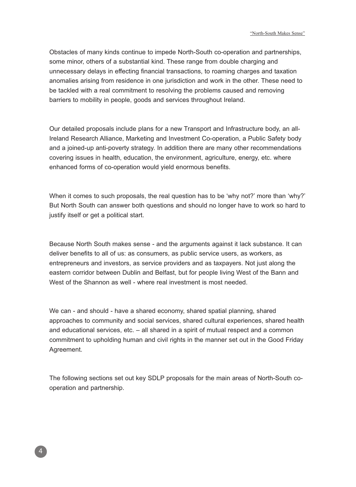Obstacles of many kinds continue to impede North-South co-operation and partnerships, some minor, others of a substantial kind. These range from double charging and unnecessary delays in effecting financial transactions, to roaming charges and taxation anomalies arising from residence in one jurisdiction and work in the other. These need to be tackled with a real commitment to resolving the problems caused and removing barriers to mobility in people, goods and services throughout Ireland.

Our detailed proposals include plans for a new Transport and Infrastructure body, an all-Ireland Research Alliance, Marketing and Investment Co-operation, a Public Safety body and a joined-up anti-poverty strategy. In addition there are many other recommendations covering issues in health, education, the environment, agriculture, energy, etc. where enhanced forms of co-operation would yield enormous benefits.

When it comes to such proposals, the real question has to be 'why not?' more than 'why?' But North South can answer both questions and should no longer have to work so hard to justify itself or get a political start.

Because North South makes sense - and the arguments against it lack substance. It can deliver benefits to all of us: as consumers, as public service users, as workers, as entrepreneurs and investors, as service providers and as taxpayers. Not just along the eastern corridor between Dublin and Belfast, but for people living West of the Bann and West of the Shannon as well - where real investment is most needed.

We can - and should - have a shared economy, shared spatial planning, shared approaches to community and social services, shared cultural experiences, shared health and educational services, etc. – all shared in a spirit of mutual respect and a common commitment to upholding human and civil rights in the manner set out in the Good Friday Agreement.

The following sections set out key SDLP proposals for the main areas of North-South cooperation and partnership.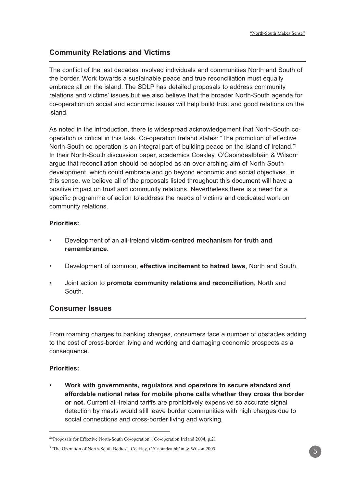# **Community Relations and Victims**

The conflict of the last decades involved individuals and communities North and South of the border. Work towards a sustainable peace and true reconciliation must equally embrace all on the island. The SDLP has detailed proposals to address community relations and victims' issues but we also believe that the broader North-South agenda for co-operation on social and economic issues will help build trust and good relations on the island.

As noted in the introduction, there is widespread acknowledgement that North-South cooperation is critical in this task. Co-operation Ireland states: "The promotion of effective North-South co-operation is an integral part of building peace on the island of Ireland."<sup>2</sup> In their North-South discussion paper, academics Coakley, O'Caoindealbháin & Wilson<sup>3</sup> argue that reconciliation should be adopted as an over-arching aim of North-South development, which could embrace and go beyond economic and social objectives. In this sense, we believe all of the proposals listed throughout this document will have a positive impact on trust and community relations. Nevertheless there is a need for a specific programme of action to address the needs of victims and dedicated work on community relations.

## **Priorities:**

- Development of an all-Ireland **victim-centred mechanism for truth and remembrance.**
- Development of common, **effective incitement to hatred laws**, North and South.
- Joint action to **promote community relations and reconciliation**, North and South.

# **Consumer Issues**

From roaming charges to banking charges, consumers face a number of obstacles adding to the cost of cross-border living and working and damaging economic prospects as a consequence.

## **Priorities:**

• **Work with governments, regulators and operators to secure standard and affordable national rates for mobile phone calls whether they cross the border or not.** Current all-Ireland tariffs are prohibitively expensive so accurate signal detection by masts would still leave border communities with high charges due to social connections and cross-border living and working.

<sup>&</sup>lt;sup>2</sup>"Proposals for Effective North-South Co-operation", Co-operation Ireland 2004, p.21

<sup>&</sup>lt;sup>3</sup>"The Operation of North-South Bodies", Coakley, O'Caoindealbháin & Wilson 2005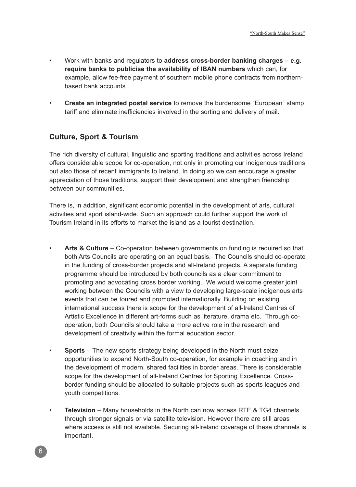- Work with banks and regulators to **address cross-border banking charges e.g. require banks to publicise the availability of IBAN numbers** which can, for example, allow fee-free payment of southern mobile phone contracts from northernbased bank accounts.
- **Create an integrated postal service** to remove the burdensome "European" stamp tariff and eliminate inefficiencies involved in the sorting and delivery of mail.

# **Culture, Sport & Tourism**

The rich diversity of cultural, linguistic and sporting traditions and activities across Ireland offers considerable scope for co-operation, not only in promoting our indigenous traditions but also those of recent immigrants to Ireland. In doing so we can encourage a greater appreciation of those traditions, support their development and strengthen friendship between our communities.

There is, in addition, significant economic potential in the development of arts, cultural activities and sport island-wide. Such an approach could further support the work of Tourism Ireland in its efforts to market the island as a tourist destination.

- **Arts & Culture** Co-operation between governments on funding is required so that both Arts Councils are operating on an equal basis. The Councils should co-operate in the funding of cross-border projects and all-Ireland projects. A separate funding programme should be introduced by both councils as a clear commitment to promoting and advocating cross border working. We would welcome greater joint working between the Councils with a view to developing large-scale indigenous arts events that can be toured and promoted internationally. Building on existing international success there is scope for the development of all-Ireland Centres of Artistic Excellence in different art-forms such as literature, drama etc. Through cooperation, both Councils should take a more active role in the research and development of creativity within the formal education sector.
- **Sports** The new sports strategy being developed in the North must seize opportunities to expand North-South co-operation, for example in coaching and in the development of modern, shared facilities in border areas. There is considerable scope for the development of all-Ireland Centres for Sporting Excellence. Crossborder funding should be allocated to suitable projects such as sports leagues and youth competitions.
- **Television** Many households in the North can now access RTE & TG4 channels through stronger signals or via satellite television. However there are still areas where access is still not available. Securing all-Ireland coverage of these channels is important.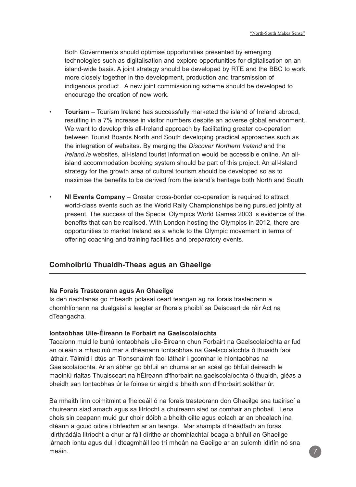Both Governments should optimise opportunities presented by emerging technologies such as digitalisation and explore opportunities for digitalisation on an island-wide basis. A joint strategy should be developed by RTE and the BBC to work more closely together in the development, production and transmission of indigenous product. A new joint commissioning scheme should be developed to encourage the creation of new work.

- **Tourism** Tourism Ireland has successfully marketed the island of Ireland abroad, resulting in a 7% increase in visitor numbers despite an adverse global environment. We want to develop this all-Ireland approach by facilitating greater co-operation between Tourist Boards North and South developing practical approaches such as the integration of websites. By merging the Discover Northern Ireland and the Ireland.ie websites, all-island tourist information would be accessible online. An allisland accommodation booking system should be part of this project. An all-Island strategy for the growth area of cultural tourism should be developed so as to maximise the benefits to be derived from the island's heritage both North and South
- **NI Events Company** Greater cross-border co-operation is required to attract world-class events such as the World Rally Championships being pursued jointly at present. The success of the Special Olympics World Games 2003 is evidence of the benefits that can be realised. With London hosting the Olympics in 2012, there are opportunities to market Ireland as a whole to the Olympic movement in terms of offering coaching and training facilities and preparatory events.

# **Comhoibriú Thuaidh-Theas agus an Ghaeilge**

#### **Na Forais Trasteorann agus An Ghaeilge**

Is den riachtanas go mbeadh polasaí ceart teangan ag na forais trasteorann a chomhlíonann na dualgaisí a leagtar ar fhorais phoiblí sa Deisceart de réir Act na dTeangacha.

#### **Iontaobhas Uile-Éireann le Forbairt na Gaelscolaíochta**

Tacaíonn muid le bunú Iontaobhais uile-Éireann chun Forbairt na Gaelscolaíochta ar fud an oileáin a mhaoiniú mar a dhéanann Iontaobhas na Gaelscolaíochta ó thuaidh faoi láthair. Táimid i dtús an Tionscnaimh faoi láthair i gcomhar le hIontaobhas na Gaelscolaíochta. Ar an ábhar go bhfuil an chuma ar an scéal go bhfuil deireadh le maoiniú rialtas Thuaisceart na hÉireann d'fhorbairt na gaelscolaíochta ó thuaidh, gléas a bheidh san Iontaobhas úr le foinse úr airgid a bheith ann d'fhorbairt soláthar úr.

Ba mhaith linn coimitmint a fheiceáil ó na forais trasteorann don Ghaeilge sna tuairiscí a chuireann siad amach agus sa litríocht a chuireann siad os comhair an phobail. Lena chois sin ceapann muid gur choir dóibh a bheith oilte agus eolach ar an bhealach ina dtéann a gcuid oibre i bhfeidhm ar an teanga. Mar shampla d'fhéadfadh an foras idirthrádála litríocht a chur ar fáil dírithe ar chomhlachtaí beaga a bhfuil an Ghaeilge lárnach iontu agus dul i dteagmháil leo trí mheán na Gaeilge ar an suíomh idirlín nó sna meáin.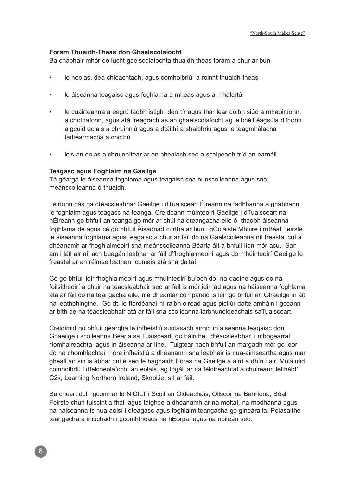#### **Foram Thuaidh-Theas don Ghaelscolaíocht**

Ba chabhair mhór do lucht gaelscolaíochta thuaidh theas foram a chur ar bun

- le heolas, dea-chleachtadh, agus comhoibriú a roinnt thuaidh theas
- le áiseanna teagaisc agus foghlama a mheas agus a mhalartú
- le cuairteanna a eagrú taobh istigh den tír agus thar lear dóibh siúd a mhaoiníonn, a chothaíonn, agus atá freagrach as an ghaelscolaíocht ag leibhéil éagsúla d'fhonn a gcuid eolais a chruinniú agus a dtáithí a shaibhriú agus le teagmhálacha fadtéarmacha a chothú
- leis an eolas a chruinnítear ar an bhealach seo a scaipeadh tríd an earnáil.

#### **Teagasc agus Foghlaim na Gaeilge**

Tá géargá le áiseanna foghlama agus teagaisc sna bunscoileanna agus sna meánscoileanna ó thuaidh.

Léiríonn cás na dtéacsleabhar Gaeilge i dTuaisceart Éireann na fadhbanna a ghabhann le foghlaim agus teagasc na teanga. Creideann múinteoirí Gaeilge i dTuaisceart na hÉireann go bhfuil an teanga go mór ar chúl na dteangacha eile ó thaobh áiseanna foghlama de agus cé go bhfuil Áisaonad curtha ar bun i gColáiste Mhuire i mBéal Feirste le áiseanna foghlama agus teagaisc a chur ar fáil do na Gaelscoileanna níl freastal cuí a dhéanamh ar fhoghlaimeoirí sna meánscoileanna Béarla áit a bhfuil líon mór acu. San am i láthair níl ach beagán leabhar ar fáil d'fhoghlaimeoirí agus do mhúinteoirí Gaeilge le freastal ar an réimse leathan cumais atá sna daltaí.

Cé go bhfuil idir fhoghlaimeoirí agus mhúinteoirí buíoch do na daoine agus do na foilsitheoirí a chuir na téacsleabhair seo ar fáil is mór idir iad agus na háiseanna foghlama atá ar fáil do na teangacha eile, má dhéantar comparáid is léir go bhfuil an Ghaeilge in áit na leathphingine. Go dtí le fíordéanaí ní raibh oiread agus pictiúr daite amháin i gceann ar bith de na téacsleabhair atá ar fáil sna scoileanna iarbhunoideachais saTuaisceart.

Creidimid go bhfuil géargha le infheistiú suntasach airgid in áiseanna teagaisc don Ghaeilge i scoileanna Béarla sa Tuaisceart, go háirithe i dtéacsleabhar, i mbogearraí ríomhaireachta, agus in áiseanna ar líne. Tuigtear nach bhfuil an margadh mór go leor do na chomhlachtaí móra infheistiú a dhéanamh sna leabhair is nua-aimseartha agus mar gheall air sin is ábhar cuí é seo le haghaidh Foras na Gaeilge a aird a dhíriú air. Molaimid comhoibriú i dteicneolaíocht an eolais, ag tógáil ar na féidireachtaí a chuireann leithéidí C2k, Learning Northern Ireland, Skool.ie, srl ar fáil.

Ba cheart dul i gcomhar le NICILT i Scoil an Oideachais, Ollscoil na Banríona, Béal Feirste chun tuiscint a fháil agus taighde a dhéanamh ar na moltaí, na modhanna agus na háiseanna is nua-aoisí i dteagasc agus foghlaim teangacha go gineáralta. Polasaithe teangacha a iniúchadh i gcomhthéacs na hEorpa, agus na noileán seo.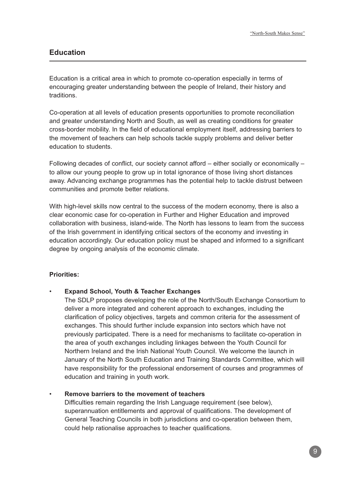# **Education**

Education is a critical area in which to promote co-operation especially in terms of encouraging greater understanding between the people of Ireland, their history and traditions.

Co-operation at all levels of education presents opportunities to promote reconciliation and greater understanding North and South, as well as creating conditions for greater cross-border mobility. In the field of educational employment itself, addressing barriers to the movement of teachers can help schools tackle supply problems and deliver better education to students.

Following decades of conflict, our society cannot afford – either socially or economically – to allow our young people to grow up in total ignorance of those living short distances away. Advancing exchange programmes has the potential help to tackle distrust between communities and promote better relations.

With high-level skills now central to the success of the modern economy, there is also a clear economic case for co-operation in Further and Higher Education and improved collaboration with business, island-wide. The North has lessons to learn from the success of the Irish government in identifying critical sectors of the economy and investing in education accordingly. Our education policy must be shaped and informed to a significant degree by ongoing analysis of the economic climate.

#### **Priorities:**

#### • **Expand School, Youth & Teacher Exchanges**

The SDLP proposes developing the role of the North/South Exchange Consortium to deliver a more integrated and coherent approach to exchanges, including the clarification of policy objectives, targets and common criteria for the assessment of exchanges. This should further include expansion into sectors which have not previously participated. There is a need for mechanisms to facilitate co-operation in the area of youth exchanges including linkages between the Youth Council for Northern Ireland and the Irish National Youth Council. We welcome the launch in January of the North South Education and Training Standards Committee, which will have responsibility for the professional endorsement of courses and programmes of education and training in youth work.

#### • **Remove barriers to the movement of teachers**

Difficulties remain regarding the Irish Language requirement (see below), superannuation entitlements and approval of qualifications. The development of General Teaching Councils in both jurisdictions and co-operation between them, could help rationalise approaches to teacher qualifications.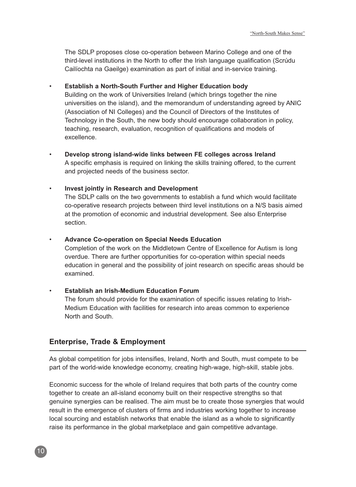The SDLP proposes close co-operation between Marino College and one of the third-level institutions in the North to offer the Irish language qualification (Scrúdu Cailíochta na Gaeilge) examination as part of initial and in-service training.

#### • **Establish a North-South Further and Higher Education body**

Building on the work of Universities Ireland (which brings together the nine universities on the island), and the memorandum of understanding agreed by ANIC (Association of NI Colleges) and the Council of Directors of the Institutes of Technology in the South, the new body should encourage collaboration in policy, teaching, research, evaluation, recognition of qualifications and models of excellence.

• **Develop strong island-wide links between FE colleges across Ireland** A specific emphasis is required on linking the skills training offered, to the current and projected needs of the business sector.

#### • **Invest jointly in Research and Development**

The SDLP calls on the two governments to establish a fund which would facilitate co-operative research projects between third level institutions on a N/S basis aimed at the promotion of economic and industrial development. See also Enterprise section.

#### • **Advance Co-operation on Special Needs Education**

Completion of the work on the Middletown Centre of Excellence for Autism is long overdue. There are further opportunities for co-operation within special needs education in general and the possibility of joint research on specific areas should be examined.

#### • **Establish an Irish-Medium Education Forum**

The forum should provide for the examination of specific issues relating to Irish-Medium Education with facilities for research into areas common to experience North and South.

## **Enterprise, Trade & Employment**

As global competition for jobs intensifies, Ireland, North and South, must compete to be part of the world-wide knowledge economy, creating high-wage, high-skill, stable jobs.

Economic success for the whole of Ireland requires that both parts of the country come together to create an all-island economy built on their respective strengths so that genuine synergies can be realised. The aim must be to create those synergies that would result in the emergence of clusters of firms and industries working together to increase local sourcing and establish networks that enable the island as a whole to significantly raise its performance in the global marketplace and gain competitive advantage.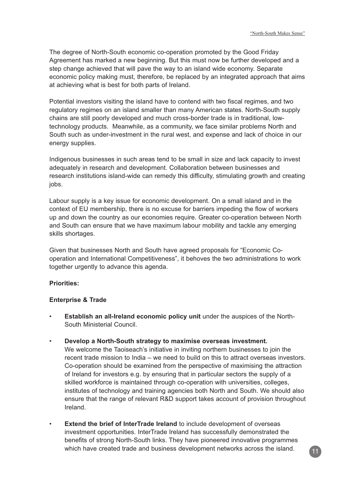The degree of North-South economic co-operation promoted by the Good Friday Agreement has marked a new beginning. But this must now be further developed and a step change achieved that will pave the way to an island wide economy. Separate economic policy making must, therefore, be replaced by an integrated approach that aims at achieving what is best for both parts of Ireland.

Potential investors visiting the island have to contend with two fiscal regimes, and two regulatory regimes on an island smaller than many American states. North-South supply chains are still poorly developed and much cross-border trade is in traditional, lowtechnology products. Meanwhile, as a community, we face similar problems North and South such as under-investment in the rural west, and expense and lack of choice in our energy supplies.

Indigenous businesses in such areas tend to be small in size and lack capacity to invest adequately in research and development. Collaboration between businesses and research institutions island-wide can remedy this difficulty, stimulating growth and creating jobs.

Labour supply is a key issue for economic development. On a small island and in the context of EU membership, there is no excuse for barriers impeding the flow of workers up and down the country as our economies require. Greater co-operation between North and South can ensure that we have maximum labour mobility and tackle any emerging skills shortages.

Given that businesses North and South have agreed proposals for "Economic Cooperation and International Competitiveness", it behoves the two administrations to work together urgently to advance this agenda.

#### **Priorities:**

#### **Enterprise & Trade**

- **Establish an all-Ireland economic policy unit** under the auspices of the North-South Ministerial Council.
- **Develop a North-South strategy to maximise overseas investment.** We welcome the Taoiseach's initiative in inviting northern businesses to join the recent trade mission to India – we need to build on this to attract overseas investors. Co-operation should be examined from the perspective of maximising the attraction of Ireland for investors e.g. by ensuring that in particular sectors the supply of a skilled workforce is maintained through co-operation with universities, colleges, institutes of technology and training agencies both North and South. We should also ensure that the range of relevant R&D support takes account of provision throughout Ireland.
- **Extend the brief of InterTrade Ireland** to include development of overseas investment opportunities. InterTrade Ireland has successfully demonstrated the benefits of strong North-South links. They have pioneered innovative programmes which have created trade and business development networks across the island.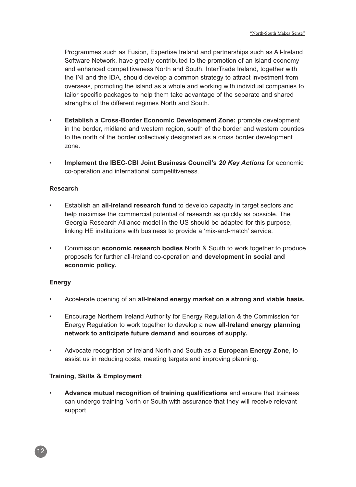Programmes such as Fusion, Expertise Ireland and partnerships such as All-Ireland Software Network, have greatly contributed to the promotion of an island economy and enhanced competitiveness North and South. InterTrade Ireland, together with the INI and the IDA, should develop a common strategy to attract investment from overseas, promoting the island as a whole and working with individual companies to tailor specific packages to help them take advantage of the separate and shared strengths of the different regimes North and South.

- **Establish a Cross-Border Economic Development Zone:** promote development in the border, midland and western region, south of the border and western counties to the north of the border collectively designated as a cross border development zone.
- **Implement the IBEC-CBI Joint Business Council's 20 Key Actions** for economic co-operation and international competitiveness.

### **Research**

- Establish an **all-Ireland research fund** to develop capacity in target sectors and help maximise the commercial potential of research as quickly as possible. The Georgia Research Alliance model in the US should be adapted for this purpose, linking HE institutions with business to provide a 'mix-and-match' service.
- Commission **economic research bodies** North & South to work together to produce proposals for further all-Ireland co-operation and **development in social and economic policy.**

## **Energy**

- Accelerate opening of an **all-Ireland energy market on a strong and viable basis.**
- Encourage Northern Ireland Authority for Energy Regulation & the Commission for Energy Regulation to work together to develop a new **all-Ireland energy planning network to anticipate future demand and sources of supply.**
- Advocate recognition of Ireland North and South as a **European Energy Zone**, to assist us in reducing costs, meeting targets and improving planning.

## **Training, Skills & Employment**

• **Advance mutual recognition of training qualifications** and ensure that trainees can undergo training North or South with assurance that they will receive relevant support.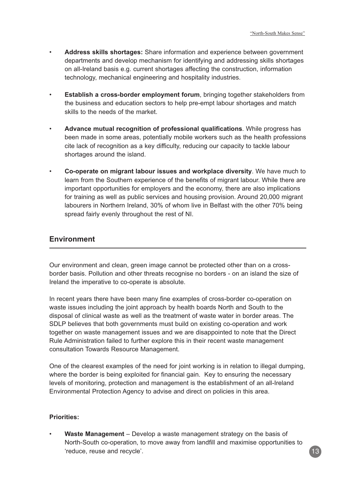- **Address skills shortages:** Share information and experience between government departments and develop mechanism for identifying and addressing skills shortages on all-Ireland basis e.g. current shortages affecting the construction, information technology, mechanical engineering and hospitality industries.
- **Establish a cross-border employment forum**, bringing together stakeholders from the business and education sectors to help pre-empt labour shortages and match skills to the needs of the market.
- **Advance mutual recognition of professional qualifications**. While progress has been made in some areas, potentially mobile workers such as the health professions cite lack of recognition as a key difficulty, reducing our capacity to tackle labour shortages around the island.
- **Co-operate on migrant labour issues and workplace diversity**. We have much to learn from the Southern experience of the benefits of migrant labour. While there are important opportunities for employers and the economy, there are also implications for training as well as public services and housing provision. Around 20,000 migrant labourers in Northern Ireland, 30% of whom live in Belfast with the other 70% being spread fairly evenly throughout the rest of NI.

# **Environment**

Our environment and clean, green image cannot be protected other than on a crossborder basis. Pollution and other threats recognise no borders - on an island the size of Ireland the imperative to co-operate is absolute.

In recent years there have been many fine examples of cross-border co-operation on waste issues including the joint approach by health boards North and South to the disposal of clinical waste as well as the treatment of waste water in border areas. The SDLP believes that both governments must build on existing co-operation and work together on waste management issues and we are disappointed to note that the Direct Rule Administration failed to further explore this in their recent waste management consultation Towards Resource Management.

One of the clearest examples of the need for joint working is in relation to illegal dumping, where the border is being exploited for financial gain. Key to ensuring the necessary levels of monitoring, protection and management is the establishment of an all-Ireland Environmental Protection Agency to advise and direct on policies in this area.

#### **Priorities:**

• **Waste Management** – Develop a waste management strategy on the basis of North-South co-operation, to move away from landfill and maximise opportunities to 'reduce, reuse and recycle'.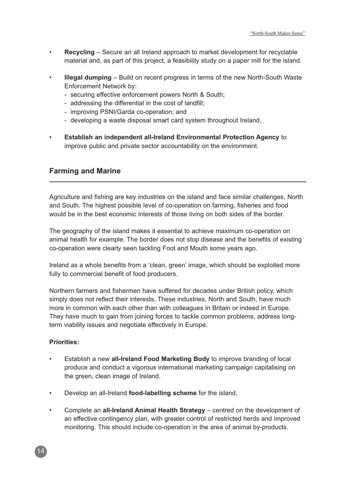- **Recycling** Secure an all Ireland approach to market development for recyclable material and, as part of this project, a feasibility study on a paper mill for the island.
- **Illegal dumping** Build on recent progress in terms of the new North-South Waste Enforcement Network by:
	- securing effective enforcement powers North & South;
	- addressing the differential in the cost of landfill;
	- improving PSNI/Garda co-operation; and
	- developing a waste disposal smart card system throughout Ireland.
- **Establish an independent all-Ireland Environmental Protection Agency** to improve public and private sector accountability on the environment.

# **Farming and Marine**

Agriculture and fishing are key industries on the island and face similar challenges, North and South. The highest possible level of co-operation on farming, fisheries and food would be in the best economic interests of those living on both sides of the border.

The geography of the island makes it essential to achieve maximum co-operation on animal health for example. The border does not stop disease and the benefits of existing co-operation were clearly seen tackling Foot and Mouth some years ago.

Ireland as a whole benefits from a 'clean, green' image, which should be exploited more fully to commercial benefit of food producers.

Northern farmers and fishermen have suffered for decades under British policy, which simply does not reflect their interests. These industries, North and South, have much more in common with each other than with colleagues in Britain or indeed in Europe. They have much to gain from joining forces to tackle common problems, address longterm viability issues and negotiate effectively in Europe.

#### **Priorities:**

- Establish a new **all-Ireland Food Marketing Body** to improve branding of local produce and conduct a vigorous international marketing campaign capitalising on the green, clean image of Ireland.
- Develop an all-Ireland **food-labelling scheme** for the island.
- Complete an **all-Ireland Animal Health Strategy** centred on the development of an effective contingency plan, with greater control of restricted herds and improved monitoring. This should include co-operation in the area of animal by-products.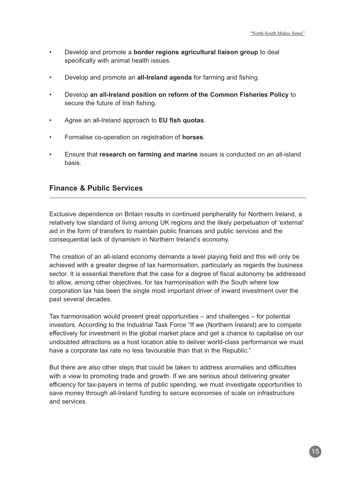- Develop and promote a **border regions agricultural liaison group** to deal specifically with animal health issues.
- Develop and promote an **all-Ireland agenda** for farming and fishing.
- Develop **an all-Ireland position on reform of the Common Fisheries Policy** to secure the future of Irish fishing.
- Agree an all-Ireland approach to **EU fish quotas**.
- Formalise co-operation on registration of **horses**.
- Ensure that **research on farming and marine** issues is conducted on an all-island basis.

## **Finance & Public Services**

Exclusive dependence on Britain results in continued peripherality for Northern Ireland, a relatively low standard of living among UK regions and the likely perpetuation of 'external' aid in the form of transfers to maintain public finances and public services and the consequential lack of dynamism in Northern Ireland's economy.

The creation of an all-island economy demands a level playing field and this will only be achieved with a greater degree of tax harmonisation, particularly as regards the business sector. It is essential therefore that the case for a degree of fiscal autonomy be addressed to allow, among other objectives, for tax harmonisation with the South where low corporation tax has been the single most important driver of inward investment over the past several decades.

Tax harmonisation would present great opportunities – and challenges – for potential investors. According to the Industrial Task Force "If we (Northern Ireland) are to compete effectively for investment in the global market place and get a chance to capitalise on our undoubted attractions as a host location able to deliver world-class performance we must have a corporate tax rate no less favourable than that in the Republic."

But there are also other steps that could be taken to address anomalies and difficulties with a view to promoting trade and growth. If we are serious about delivering greater efficiency for tax-payers in terms of public spending, we must investigate opportunities to save money through all-Ireland funding to secure economies of scale on infrastructure and services.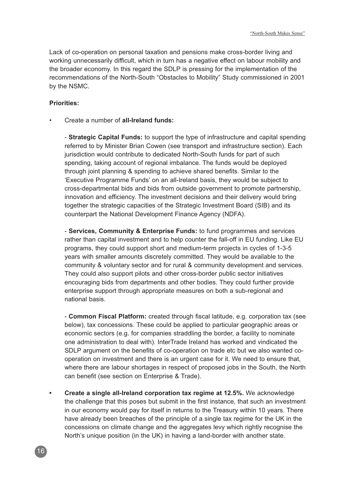Lack of co-operation on personal taxation and pensions make cross-border living and working unnecessarily difficult, which in turn has a negative effect on labour mobility and the broader economy. In this regard the SDLP is pressing for the implementation of the recommendations of the North-South "Obstacles to Mobility" Study commissioned in 2001 by the NSMC.

#### **Priorities:**

• Create a number of **all-Ireland funds:**

- **Strategic Capital Funds:** to support the type of infrastructure and capital spending referred to by Minister Brian Cowen (see transport and infrastructure section). Each jurisdiction would contribute to dedicated North-South funds for part of such spending, taking account of regional imbalance. The funds would be deployed through joint planning & spending to achieve shared benefits. Similar to the 'Executive Programme Funds' on an all-Ireland basis, they would be subject to cross-departmental bids and bids from outside government to promote partnership, innovation and efficiency. The investment decisions and their delivery would bring together the strategic capacities of the Strategic Investment Board (SIB) and its counterpart the National Development Finance Agency (NDFA).

- **Services, Community & Enterprise Funds:** to fund programmes and services rather than capital investment and to help counter the fall-off in EU funding. Like EU programs, they could support short and medium-term projects in cycles of 1-3-5 years with smaller amounts discretely committed. They would be available to the community & voluntary sector and for rural & community development and services. They could also support pilots and other cross-border public sector initiatives encouraging bids from departments and other bodies. They could further provide enterprise support through appropriate measures on both a sub-regional and national basis.

- **Common Fiscal Platform:** created through fiscal latitude, e.g. corporation tax (see below), tax concessions. These could be applied to particular geographic areas or economic sectors (e.g. for companies straddling the border, a facility to nominate one administration to deal with). InterTrade Ireland has worked and vindicated the SDLP argument on the benefits of co-operation on trade etc but we also wanted cooperation on investment and there is an urgent case for it. We need to ensure that, where there are labour shortages in respect of proposed jobs in the South, the North can benefit (see section on Enterprise & Trade).

**• Create a single all-Ireland corporation tax regime at 12.5%.** We acknowledge the challenge that this poses but submit in the first instance, that such an investment in our economy would pay for itself in returns to the Treasury within 10 years. There have already been breaches of the principle of a single tax regime for the UK in the concessions on climate change and the aggregates levy which rightly recognise the North's unique position (in the UK) in having a land-border with another state.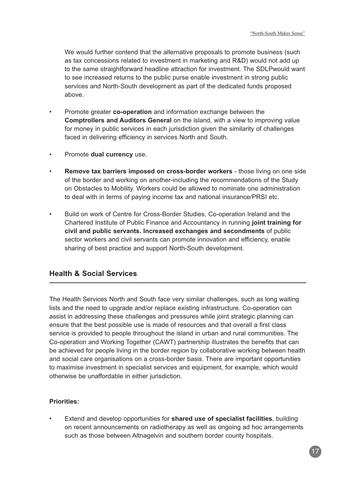We would further contend that the alternative proposals to promote business (such as tax concessions related to investment in marketing and R&D) would not add up to the same straightforward headline attraction for investment. The SDLPwould want to see increased returns to the public purse enable investment in strong public services and North-South development as part of the dedicated funds proposed above.

- Promote greater **co-operation** and information exchange between the **Comptrollers and Auditors General** on the island, with a view to improving value for money in public services in each jurisdiction given the similarity of challenges faced in delivering efficiency in services North and South.
- Promote **dual currency** use.
- **Remove tax barriers imposed on cross-border workers** those living on one side of the border and working on another-including the recommendations of the Study on Obstacles to Mobility. Workers could be allowed to nominate one administration to deal with in terms of paying income tax and national insurance/PRSI etc.
- Build on work of Centre for Cross-Border Studies, Co-operation Ireland and the Chartered Institute of Public Finance and Accountancy in running **joint training for civil and public servants. Increased exchanges and secondments** of public sector workers and civil servants can promote innovation and efficiency, enable sharing of best practice and support North-South development.

# **Health & Social Services**

The Health Services North and South face very similar challenges, such as long waiting lists and the need to upgrade and/or replace existing infrastructure. Co-operation can assist in addressing these challenges and pressures while joint strategic planning can ensure that the best possible use is made of resources and that overall a first class service is provided to people throughout the island in urban and rural communities. The Co-operation and Working Together (CAWT) partnership illustrates the benefits that can be achieved for people living in the border region by collaborative working between health and social care organisations on a cross-border basis. There are important opportunities to maximise investment in specialist services and equipment, for example, which would otherwise be unaffordable in either jurisdiction.

## **Priorities:**

• Extend and develop opportunities for **shared use of specialist facilities**, building on recent announcements on radiotherapy as well as ongoing ad hoc arrangements such as those between Altnagelvin and southern border county hospitals.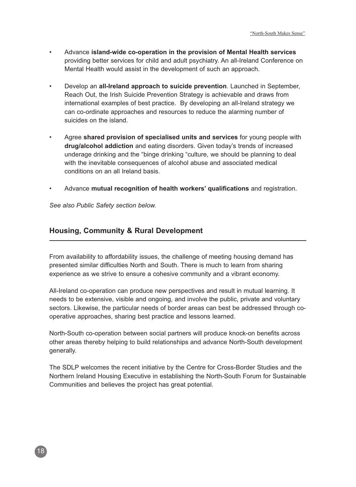- Advance **island-wide co-operation in the provision of Mental Health services** providing better services for child and adult psychiatry. An all-Ireland Conference on Mental Health would assist in the development of such an approach.
- Develop an **all-Ireland approach to suicide prevention**. Launched in September, Reach Out, the Irish Suicide Prevention Strategy is achievable and draws from international examples of best practice. By developing an all-Ireland strategy we can co-ordinate approaches and resources to reduce the alarming number of suicides on the island.
- Agree **shared provision of specialised units and services** for young people with **drug/alcohol addiction** and eating disorders. Given today's trends of increased underage drinking and the "binge drinking "culture, we should be planning to deal with the inevitable consequences of alcohol abuse and associated medical conditions on an all Ireland basis.
- Advance **mutual recognition of health workers' qualifications** and registration.

See also Public Safety section below.

# **Housing, Community & Rural Development**

From availability to affordability issues, the challenge of meeting housing demand has presented similar difficulties North and South. There is much to learn from sharing experience as we strive to ensure a cohesive community and a vibrant economy.

All-Ireland co-operation can produce new perspectives and result in mutual learning. It needs to be extensive, visible and ongoing, and involve the public, private and voluntary sectors. Likewise, the particular needs of border areas can best be addressed through cooperative approaches, sharing best practice and lessons learned.

North-South co-operation between social partners will produce knock-on benefits across other areas thereby helping to build relationships and advance North-South development generally.

The SDLP welcomes the recent initiative by the Centre for Cross-Border Studies and the Northern Ireland Housing Executive in establishing the North-South Forum for Sustainable Communities and believes the project has great potential.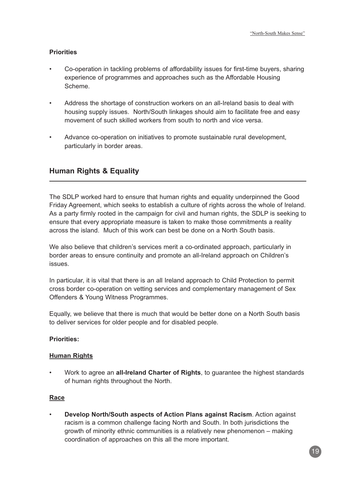## **Priorities**

- Co-operation in tackling problems of affordability issues for first-time buyers, sharing experience of programmes and approaches such as the Affordable Housing Scheme.
- Address the shortage of construction workers on an all-Ireland basis to deal with housing supply issues. North/South linkages should aim to facilitate free and easy movement of such skilled workers from south to north and vice versa.
- Advance co-operation on initiatives to promote sustainable rural development, particularly in border areas.

# **Human Rights & Equality**

The SDLP worked hard to ensure that human rights and equality underpinned the Good Friday Agreement, which seeks to establish a culture of rights across the whole of Ireland. As a party firmly rooted in the campaign for civil and human rights, the SDLP is seeking to ensure that every appropriate measure is taken to make those commitments a reality across the island. Much of this work can best be done on a North South basis.

We also believe that children's services merit a co-ordinated approach, particularly in border areas to ensure continuity and promote an all-Ireland approach on Children's issues.

In particular, it is vital that there is an all Ireland approach to Child Protection to permit cross border co-operation on vetting services and complementary management of Sex Offenders & Young Witness Programmes.

Equally, we believe that there is much that would be better done on a North South basis to deliver services for older people and for disabled people.

## **Priorities:**

## **Human Rights**

• Work to agree an **all-Ireland Charter of Rights**, to guarantee the highest standards of human rights throughout the North.

## **Race**

• **Develop North/South aspects of Action Plans against Racism**. Action against racism is a common challenge facing North and South. In both jurisdictions the growth of minority ethnic communities is a relatively new phenomenon – making coordination of approaches on this all the more important.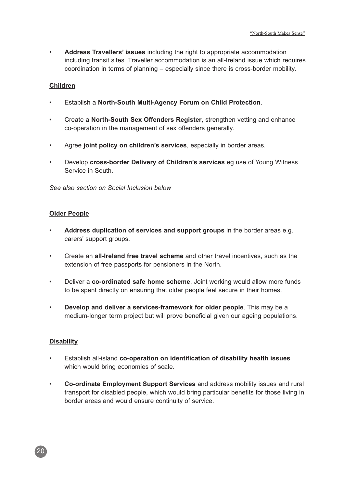• **Address Travellers' issues** including the right to appropriate accommodation including transit sites. Traveller accommodation is an all-Ireland issue which requires coordination in terms of planning – especially since there is cross-border mobility.

#### **Children**

- Establish a **North-South Multi-Agency Forum on Child Protection**.
- Create a **North-South Sex Offenders Register**, strengthen vetting and enhance co-operation in the management of sex offenders generally.
- Agree **joint policy on children's services**, especially in border areas.
- Develop **cross-border Delivery of Children's services** eg use of Young Witness Service in South.

See also section on Social Inclusion below

#### **Older People**

- **Address duplication of services and support groups** in the border areas e.g. carers' support groups.
- Create an **all-Ireland free travel scheme** and other travel incentives, such as the extension of free passports for pensioners in the North.
- Deliver a **co-ordinated safe home scheme**. Joint working would allow more funds to be spent directly on ensuring that older people feel secure in their homes.
- **Develop and deliver a services-framework for older people**. This may be a medium-longer term project but will prove beneficial given our ageing populations.

#### **Disability**

- Establish all-island **co-operation on identification of disability health issues** which would bring economies of scale.
- **Co-ordinate Employment Support Services** and address mobility issues and rural transport for disabled people, which would bring particular benefits for those living in border areas and would ensure continuity of service.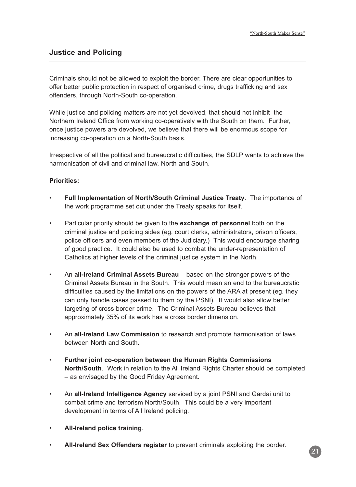# **Justice and Policing**

Criminals should not be allowed to exploit the border. There are clear opportunities to offer better public protection in respect of organised crime, drugs trafficking and sex offenders, through North-South co-operation.

While justice and policing matters are not yet devolved, that should not inhibit the Northern Ireland Office from working co-operatively with the South on them. Further, once justice powers are devolved, we believe that there will be enormous scope for increasing co-operation on a North-South basis.

Irrespective of all the political and bureaucratic difficulties, the SDLP wants to achieve the harmonisation of civil and criminal law, North and South.

#### **Priorities:**

- **Full Implementation of North/South Criminal Justice Treaty**. The importance of the work programme set out under the Treaty speaks for itself.
- Particular priority should be given to the **exchange of personnel** both on the criminal justice and policing sides (eg. court clerks, administrators, prison officers, police officers and even members of the Judiciary.) This would encourage sharing of good practice. It could also be used to combat the under-representation of Catholics at higher levels of the criminal justice system in the North.
- An **all-Ireland Criminal Assets Bureau** based on the stronger powers of the Criminal Assets Bureau in the South. This would mean an end to the bureaucratic difficulties caused by the limitations on the powers of the ARA at present (eg. they can only handle cases passed to them by the PSNI). It would also allow better targeting of cross border crime. The Criminal Assets Bureau believes that approximately 35% of its work has a cross border dimension.
- An **all-Ireland Law Commission** to research and promote harmonisation of laws between North and South.
- **Further joint co-operation between the Human Rights Commissions North/South**. Work in relation to the All Ireland Rights Charter should be completed – as envisaged by the Good Friday Agreement.
- An **all-Ireland Intelligence Agency** serviced by a joint PSNI and Gardai unit to combat crime and terrorism North/South. This could be a very important development in terms of All Ireland policing.
- **All-Ireland police training**.
- **All-Ireland Sex Offenders register** to prevent criminals exploiting the border.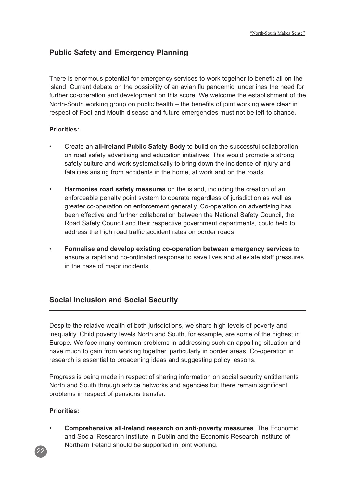There is enormous potential for emergency services to work together to benefit all on the island. Current debate on the possibility of an avian flu pandemic, underlines the need for further co-operation and development on this score. We welcome the establishment of the North-South working group on public health – the benefits of joint working were clear in respect of Foot and Mouth disease and future emergencies must not be left to chance.

## **Priorities:**

- Create an **all-Ireland Public Safety Body** to build on the successful collaboration on road safety advertising and education initiatives. This would promote a strong safety culture and work systematically to bring down the incidence of injury and fatalities arising from accidents in the home, at work and on the roads.
- **Harmonise road safety measures** on the island, including the creation of an enforceable penalty point system to operate regardless of jurisdiction as well as greater co-operation on enforcement generally. Co-operation on advertising has been effective and further collaboration between the National Safety Council, the Road Safety Council and their respective government departments, could help to address the high road traffic accident rates on border roads.
- **Formalise and develop existing co-operation between emergency services** to ensure a rapid and co-ordinated response to save lives and alleviate staff pressures in the case of major incidents.

# **Social Inclusion and Social Security**

Despite the relative wealth of both jurisdictions, we share high levels of poverty and inequality. Child poverty levels North and South, for example, are some of the highest in Europe. We face many common problems in addressing such an appalling situation and have much to gain from working together, particularly in border areas. Co-operation in research is essential to broadening ideas and suggesting policy lessons.

Progress is being made in respect of sharing information on social security entitlements North and South through advice networks and agencies but there remain significant problems in respect of pensions transfer.

#### **Priorities:**

• **Comprehensive all-Ireland research on anti-poverty measures**. The Economic and Social Research Institute in Dublin and the Economic Research Institute of Northern Ireland should be supported in joint working.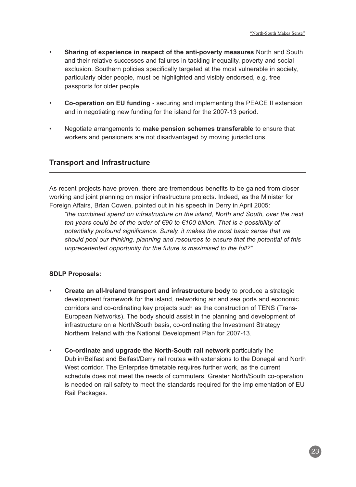- **Sharing of experience in respect of the anti-poverty measures** North and South and their relative successes and failures in tackling inequality, poverty and social exclusion. Southern policies specifically targeted at the most vulnerable in society, particularly older people, must be highlighted and visibly endorsed, e.g. free passports for older people.
- **Co-operation on EU funding** securing and implementing the PEACE II extension and in negotiating new funding for the island for the 2007-13 period.
- Negotiate arrangements to **make pension schemes transferable** to ensure that workers and pensioners are not disadvantaged by moving jurisdictions.

# **Transport and Infrastructure**

As recent projects have proven, there are tremendous benefits to be gained from closer working and joint planning on major infrastructure projects. Indeed, as the Minister for Foreign Affairs, Brian Cowen, pointed out in his speech in Derry in April 2005:

"the combined spend on infrastructure on the island, North and South, over the next ten years could be of the order of €90 to €100 billion. That is a possibility of potentially profound significance. Surely, it makes the most basic sense that we should pool our thinking, planning and resources to ensure that the potential of this unprecedented opportunity for the future is maximised to the full?"

## **SDLP Proposals:**

- **Create an all-Ireland transport and infrastructure body** to produce a strategic development framework for the island, networking air and sea ports and economic corridors and co-ordinating key projects such as the construction of TENS (Trans-European Networks). The body should assist in the planning and development of infrastructure on a North/South basis, co-ordinating the Investment Strategy Northern Ireland with the National Development Plan for 2007-13.
- **Co-ordinate and upgrade the North-South rail network** particularly the Dublin/Belfast and Belfast/Derry rail routes with extensions to the Donegal and North West corridor. The Enterprise timetable requires further work, as the current schedule does not meet the needs of commuters. Greater North/South co-operation is needed on rail safety to meet the standards required for the implementation of EU Rail Packages.